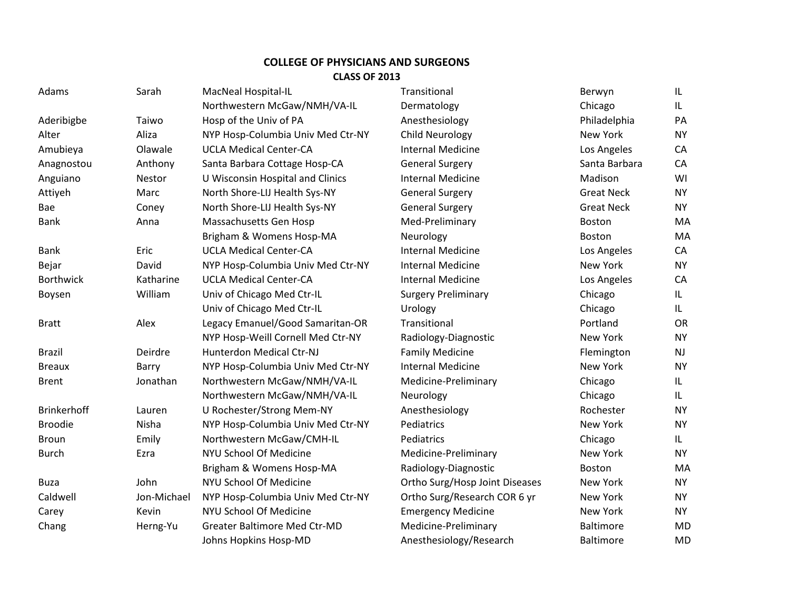## **COLLEGE OF PHYSICIANS AND SURGEONS CLASS OF 2013**

| Adams              | Sarah         | MacNeal Hospital-IL               | Transitional                   | Berwyn            | IL        |
|--------------------|---------------|-----------------------------------|--------------------------------|-------------------|-----------|
|                    |               | Northwestern McGaw/NMH/VA-IL      | Dermatology                    | Chicago           | IL        |
| Aderibigbe         | Taiwo         | Hosp of the Univ of PA            | Anesthesiology                 | Philadelphia      | PA        |
| Alter              | Aliza         | NYP Hosp-Columbia Univ Med Ctr-NY | <b>Child Neurology</b>         | New York          | <b>NY</b> |
| Amubieya           | Olawale       | <b>UCLA Medical Center-CA</b>     | <b>Internal Medicine</b>       | Los Angeles       | CA        |
| Anagnostou         | Anthony       | Santa Barbara Cottage Hosp-CA     | <b>General Surgery</b>         | Santa Barbara     | CA        |
| Anguiano           | <b>Nestor</b> | U Wisconsin Hospital and Clinics  | <b>Internal Medicine</b>       | Madison           | WI        |
| Attiyeh            | Marc          | North Shore-LIJ Health Sys-NY     | <b>General Surgery</b>         | <b>Great Neck</b> | <b>NY</b> |
| Bae                | Coney         | North Shore-LIJ Health Sys-NY     | <b>General Surgery</b>         | <b>Great Neck</b> | <b>NY</b> |
| <b>Bank</b>        | Anna          | Massachusetts Gen Hosp            | Med-Preliminary                | Boston            | MA        |
|                    |               | Brigham & Womens Hosp-MA          | Neurology                      | Boston            | MA        |
| <b>Bank</b>        | Eric          | <b>UCLA Medical Center-CA</b>     | <b>Internal Medicine</b>       | Los Angeles       | CA        |
| Bejar              | David         | NYP Hosp-Columbia Univ Med Ctr-NY | <b>Internal Medicine</b>       | New York          | <b>NY</b> |
| <b>Borthwick</b>   | Katharine     | <b>UCLA Medical Center-CA</b>     | <b>Internal Medicine</b>       | Los Angeles       | CA        |
| Boysen             | William       | Univ of Chicago Med Ctr-IL        | <b>Surgery Preliminary</b>     | Chicago           | IL        |
|                    |               | Univ of Chicago Med Ctr-IL        | Urology                        | Chicago           | IL        |
| <b>Bratt</b>       | Alex          | Legacy Emanuel/Good Samaritan-OR  | Transitional                   | Portland          | OR        |
|                    |               | NYP Hosp-Weill Cornell Med Ctr-NY | Radiology-Diagnostic           | New York          | <b>NY</b> |
| <b>Brazil</b>      | Deirdre       | Hunterdon Medical Ctr-NJ          | <b>Family Medicine</b>         | Flemington        | NJ        |
| <b>Breaux</b>      | Barry         | NYP Hosp-Columbia Univ Med Ctr-NY | <b>Internal Medicine</b>       | New York          | <b>NY</b> |
| <b>Brent</b>       | Jonathan      | Northwestern McGaw/NMH/VA-IL      | Medicine-Preliminary           | Chicago           | IL        |
|                    |               | Northwestern McGaw/NMH/VA-IL      | Neurology                      | Chicago           | IL        |
| <b>Brinkerhoff</b> | Lauren        | U Rochester/Strong Mem-NY         | Anesthesiology                 | Rochester         | <b>NY</b> |
| <b>Broodie</b>     | Nisha         | NYP Hosp-Columbia Univ Med Ctr-NY | Pediatrics                     | New York          | <b>NY</b> |
| <b>Broun</b>       | Emily         | Northwestern McGaw/CMH-IL         | Pediatrics                     | Chicago           | IL.       |
| <b>Burch</b>       | Ezra          | NYU School Of Medicine            | Medicine-Preliminary           | New York          | <b>NY</b> |
|                    |               | Brigham & Womens Hosp-MA          | Radiology-Diagnostic           | <b>Boston</b>     | MA        |
| <b>Buza</b>        | John          | NYU School Of Medicine            | Ortho Surg/Hosp Joint Diseases | New York          | <b>NY</b> |
| Caldwell           | Jon-Michael   | NYP Hosp-Columbia Univ Med Ctr-NY | Ortho Surg/Research COR 6 yr   | New York          | <b>NY</b> |
| Carey              | Kevin         | NYU School Of Medicine            | <b>Emergency Medicine</b>      | New York          | <b>NY</b> |
| Chang              | Herng-Yu      | Greater Baltimore Med Ctr-MD      | Medicine-Preliminary           | <b>Baltimore</b>  | <b>MD</b> |
|                    |               | Johns Hopkins Hosp-MD             | Anesthesiology/Research        | <b>Baltimore</b>  | <b>MD</b> |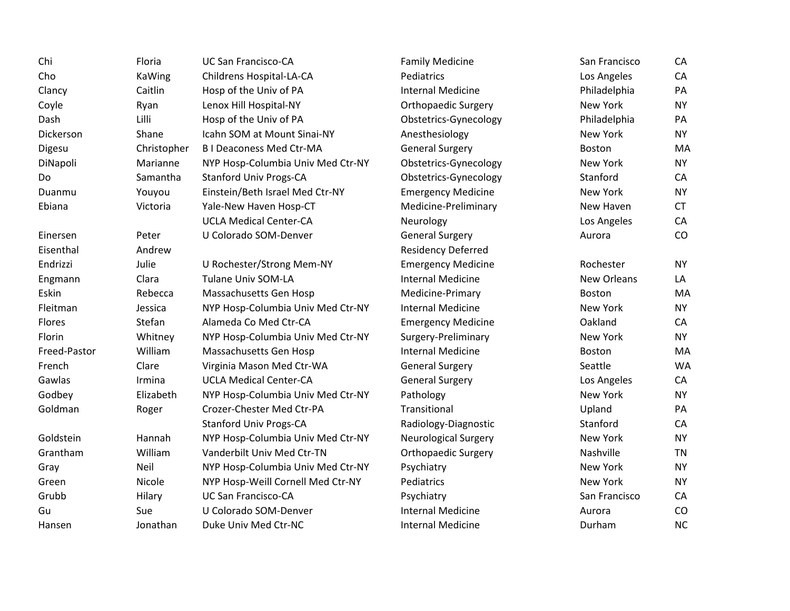| Chi          | Floria      | <b>UC San Francisco-CA</b>        | <b>Family Medicine</b>      | San Francisco      | CA        |
|--------------|-------------|-----------------------------------|-----------------------------|--------------------|-----------|
| Cho          | KaWing      | Childrens Hospital-LA-CA          | Pediatrics                  | Los Angeles        | CA        |
| Clancy       | Caitlin     | Hosp of the Univ of PA            | <b>Internal Medicine</b>    | Philadelphia       | PA        |
| Coyle        | Ryan        | Lenox Hill Hospital-NY            | <b>Orthopaedic Surgery</b>  | New York           | <b>NY</b> |
| Dash         | Lilli       | Hosp of the Univ of PA            | Obstetrics-Gynecology       | Philadelphia       | PA        |
| Dickerson    | Shane       | Icahn SOM at Mount Sinai-NY       | Anesthesiology              | New York           | <b>NY</b> |
| Digesu       | Christopher | <b>BI Deaconess Med Ctr-MA</b>    | <b>General Surgery</b>      | Boston             | MA        |
| DiNapoli     | Marianne    | NYP Hosp-Columbia Univ Med Ctr-NY | Obstetrics-Gynecology       | New York           | <b>NY</b> |
| Do           | Samantha    | <b>Stanford Univ Progs-CA</b>     | Obstetrics-Gynecology       | Stanford           | CA        |
| Duanmu       | Youyou      | Einstein/Beth Israel Med Ctr-NY   | <b>Emergency Medicine</b>   | New York           | <b>NY</b> |
| Ebiana       | Victoria    | Yale-New Haven Hosp-CT            | Medicine-Preliminary        | New Haven          | <b>CT</b> |
|              |             | <b>UCLA Medical Center-CA</b>     | Neurology                   | Los Angeles        | CA        |
| Einersen     | Peter       | U Colorado SOM-Denver             | <b>General Surgery</b>      | Aurora             | CO        |
| Eisenthal    | Andrew      |                                   | <b>Residency Deferred</b>   |                    |           |
| Endrizzi     | Julie       | U Rochester/Strong Mem-NY         | <b>Emergency Medicine</b>   | Rochester          | <b>NY</b> |
| Engmann      | Clara       | <b>Tulane Univ SOM-LA</b>         | <b>Internal Medicine</b>    | <b>New Orleans</b> | LA        |
| Eskin        | Rebecca     | Massachusetts Gen Hosp            | Medicine-Primary            | <b>Boston</b>      | MA        |
| Fleitman     | Jessica     | NYP Hosp-Columbia Univ Med Ctr-NY | <b>Internal Medicine</b>    | New York           | <b>NY</b> |
| Flores       | Stefan      | Alameda Co Med Ctr-CA             | <b>Emergency Medicine</b>   | Oakland            | CA        |
| Florin       | Whitney     | NYP Hosp-Columbia Univ Med Ctr-NY | Surgery-Preliminary         | New York           | <b>NY</b> |
| Freed-Pastor | William     | Massachusetts Gen Hosp            | <b>Internal Medicine</b>    | Boston             | MA        |
| French       | Clare       | Virginia Mason Med Ctr-WA         | <b>General Surgery</b>      | Seattle            | <b>WA</b> |
| Gawlas       | Irmina      | <b>UCLA Medical Center-CA</b>     | <b>General Surgery</b>      | Los Angeles        | CA        |
| Godbey       | Elizabeth   | NYP Hosp-Columbia Univ Med Ctr-NY | Pathology                   | New York           | <b>NY</b> |
| Goldman      | Roger       | Crozer-Chester Med Ctr-PA         | Transitional                | Upland             | PA        |
|              |             | <b>Stanford Univ Progs-CA</b>     | Radiology-Diagnostic        | Stanford           | CA        |
| Goldstein    | Hannah      | NYP Hosp-Columbia Univ Med Ctr-NY | <b>Neurological Surgery</b> | New York           | <b>NY</b> |
| Grantham     | William     | Vanderbilt Univ Med Ctr-TN        | <b>Orthopaedic Surgery</b>  | Nashville          | <b>TN</b> |
| Gray         | Neil        | NYP Hosp-Columbia Univ Med Ctr-NY | Psychiatry                  | New York           | <b>NY</b> |
| Green        | Nicole      | NYP Hosp-Weill Cornell Med Ctr-NY | Pediatrics                  | New York           | <b>NY</b> |
| Grubb        | Hilary      | <b>UC San Francisco-CA</b>        | Psychiatry                  | San Francisco      | CA        |
| Gu           | Sue         | U Colorado SOM-Denver             | <b>Internal Medicine</b>    | Aurora             | CO        |
| Hansen       | Jonathan    | Duke Univ Med Ctr-NC              | <b>Internal Medicine</b>    | Durham             | <b>NC</b> |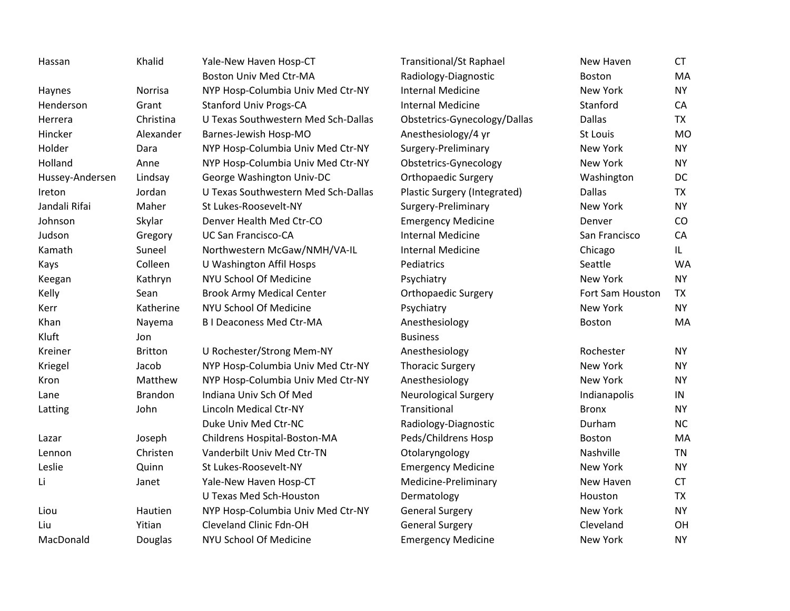| Hassan          | Khalid         | Yale-New Haven Hosp-CT              | <b>Transitional/St Raphael</b> | New Haven        | <b>CT</b> |
|-----------------|----------------|-------------------------------------|--------------------------------|------------------|-----------|
|                 |                | <b>Boston Univ Med Ctr-MA</b>       | Radiology-Diagnostic           | <b>Boston</b>    | MA        |
| Haynes          | Norrisa        | NYP Hosp-Columbia Univ Med Ctr-NY   | <b>Internal Medicine</b>       | New York         | <b>NY</b> |
| Henderson       | Grant          | <b>Stanford Univ Progs-CA</b>       | <b>Internal Medicine</b>       | Stanford         | CA        |
| Herrera         | Christina      | U Texas Southwestern Med Sch-Dallas | Obstetrics-Gynecology/Dallas   | <b>Dallas</b>    | <b>TX</b> |
| Hincker         | Alexander      | Barnes-Jewish Hosp-MO               | Anesthesiology/4 yr            | St Louis         | <b>MO</b> |
| Holder          | Dara           | NYP Hosp-Columbia Univ Med Ctr-NY   | Surgery-Preliminary            | New York         | <b>NY</b> |
| Holland         | Anne           | NYP Hosp-Columbia Univ Med Ctr-NY   | Obstetrics-Gynecology          | New York         | <b>NY</b> |
| Hussey-Andersen | Lindsay        | George Washington Univ-DC           | <b>Orthopaedic Surgery</b>     | Washington       | <b>DC</b> |
| Ireton          | Jordan         | U Texas Southwestern Med Sch-Dallas | Plastic Surgery (Integrated)   | <b>Dallas</b>    | TX        |
| Jandali Rifai   | Maher          | St Lukes-Roosevelt-NY               | Surgery-Preliminary            | New York         | <b>NY</b> |
| Johnson         | Skylar         | Denver Health Med Ctr-CO            | <b>Emergency Medicine</b>      | Denver           | CO        |
| Judson          | Gregory        | <b>UC San Francisco-CA</b>          | <b>Internal Medicine</b>       | San Francisco    | CA        |
| Kamath          | Suneel         | Northwestern McGaw/NMH/VA-IL        | <b>Internal Medicine</b>       | Chicago          | IL.       |
| Kays            | Colleen        | U Washington Affil Hosps            | Pediatrics                     | Seattle          | <b>WA</b> |
| Keegan          | Kathryn        | NYU School Of Medicine              | Psychiatry                     | New York         | <b>NY</b> |
| Kelly           | Sean           | <b>Brook Army Medical Center</b>    | <b>Orthopaedic Surgery</b>     | Fort Sam Houston | <b>TX</b> |
| Kerr            | Katherine      | NYU School Of Medicine              | Psychiatry                     | <b>New York</b>  | <b>NY</b> |
| Khan            | Nayema         | <b>BI Deaconess Med Ctr-MA</b>      | Anesthesiology                 | <b>Boston</b>    | MA        |
| Kluft           | Jon            |                                     | <b>Business</b>                |                  |           |
| Kreiner         | <b>Britton</b> | U Rochester/Strong Mem-NY           | Anesthesiology                 | Rochester        | NY.       |
| Kriegel         | Jacob          | NYP Hosp-Columbia Univ Med Ctr-NY   | <b>Thoracic Surgery</b>        | New York         | <b>NY</b> |
| Kron            | Matthew        | NYP Hosp-Columbia Univ Med Ctr-NY   | Anesthesiology                 | New York         | <b>NY</b> |
| Lane            | <b>Brandon</b> | Indiana Univ Sch Of Med             | <b>Neurological Surgery</b>    | Indianapolis     | IN        |
| Latting         | John           | Lincoln Medical Ctr-NY              | Transitional                   | <b>Bronx</b>     | <b>NY</b> |
|                 |                | Duke Univ Med Ctr-NC                | Radiology-Diagnostic           | Durham           | NC        |
| Lazar           | Joseph         | Childrens Hospital-Boston-MA        | Peds/Childrens Hosp            | <b>Boston</b>    | MA        |
| Lennon          | Christen       | Vanderbilt Univ Med Ctr-TN          | Otolaryngology                 | Nashville        | <b>TN</b> |
| Leslie          | Quinn          | St Lukes-Roosevelt-NY               | <b>Emergency Medicine</b>      | New York         | <b>NY</b> |
| Li              | Janet          | Yale-New Haven Hosp-CT              | Medicine-Preliminary           | New Haven        | <b>CT</b> |
|                 |                | <b>U Texas Med Sch-Houston</b>      | Dermatology                    | Houston          | <b>TX</b> |
| Liou            | Hautien        | NYP Hosp-Columbia Univ Med Ctr-NY   | <b>General Surgery</b>         | New York         | <b>NY</b> |
| Liu             | Yitian         | Cleveland Clinic Fdn-OH             | <b>General Surgery</b>         | Cleveland        | OH        |
| MacDonald       | Douglas        | NYU School Of Medicine              | <b>Emergency Medicine</b>      | New York         | <b>NY</b> |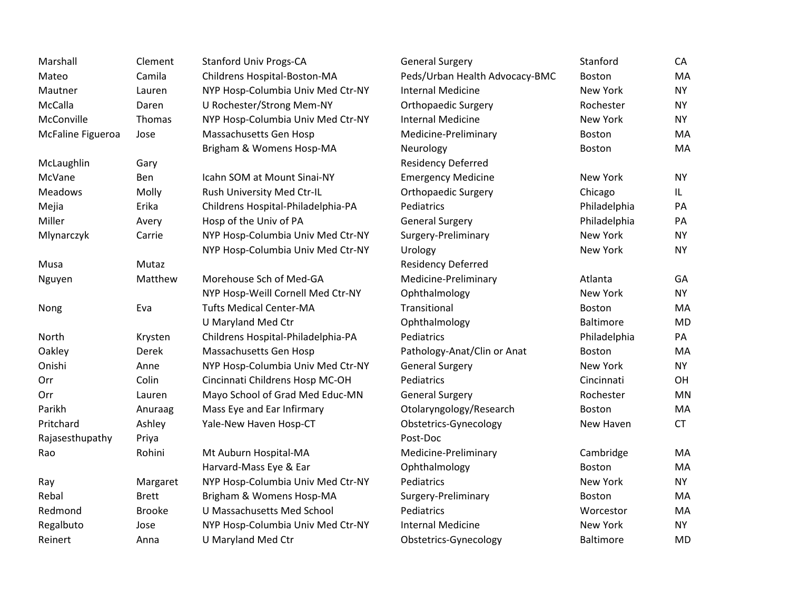| Marshall          | Clement       | <b>Stanford Univ Progs-CA</b>      | <b>General Surgery</b>         | Stanford         | CA        |
|-------------------|---------------|------------------------------------|--------------------------------|------------------|-----------|
| Mateo             | Camila        | Childrens Hospital-Boston-MA       | Peds/Urban Health Advocacy-BMC | Boston           | MA        |
| Mautner           | Lauren        | NYP Hosp-Columbia Univ Med Ctr-NY  | <b>Internal Medicine</b>       | <b>New York</b>  | <b>NY</b> |
| McCalla           | Daren         | U Rochester/Strong Mem-NY          | Orthopaedic Surgery            | Rochester        | <b>NY</b> |
| McConville        | Thomas        | NYP Hosp-Columbia Univ Med Ctr-NY  | <b>Internal Medicine</b>       | New York         | <b>NY</b> |
| McFaline Figueroa | Jose          | Massachusetts Gen Hosp             | Medicine-Preliminary           | Boston           | MA        |
|                   |               | Brigham & Womens Hosp-MA           | Neurology                      | Boston           | MA        |
| McLaughlin        | Gary          |                                    | <b>Residency Deferred</b>      |                  |           |
| McVane            | Ben           | Icahn SOM at Mount Sinai-NY        | <b>Emergency Medicine</b>      | New York         | <b>NY</b> |
| Meadows           | Molly         | Rush University Med Ctr-IL         | <b>Orthopaedic Surgery</b>     | Chicago          | IL.       |
| Mejia             | Erika         | Childrens Hospital-Philadelphia-PA | Pediatrics                     | Philadelphia     | PA        |
| Miller            | Avery         | Hosp of the Univ of PA             | <b>General Surgery</b>         | Philadelphia     | PA        |
| Mlynarczyk        | Carrie        | NYP Hosp-Columbia Univ Med Ctr-NY  | Surgery-Preliminary            | New York         | <b>NY</b> |
|                   |               | NYP Hosp-Columbia Univ Med Ctr-NY  | Urology                        | <b>New York</b>  | <b>NY</b> |
| Musa              | Mutaz         |                                    | <b>Residency Deferred</b>      |                  |           |
| Nguyen            | Matthew       | Morehouse Sch of Med-GA            | Medicine-Preliminary           | Atlanta          | GA        |
|                   |               | NYP Hosp-Weill Cornell Med Ctr-NY  | Ophthalmology                  | New York         | <b>NY</b> |
| Nong              | Eva           | <b>Tufts Medical Center-MA</b>     | Transitional                   | Boston           | MA        |
|                   |               | U Maryland Med Ctr                 | Ophthalmology                  | <b>Baltimore</b> | <b>MD</b> |
| North             | Krysten       | Childrens Hospital-Philadelphia-PA | Pediatrics                     | Philadelphia     | PA        |
| Oakley            | Derek         | Massachusetts Gen Hosp             | Pathology-Anat/Clin or Anat    | <b>Boston</b>    | MA        |
| Onishi            | Anne          | NYP Hosp-Columbia Univ Med Ctr-NY  | <b>General Surgery</b>         | <b>New York</b>  | <b>NY</b> |
| Orr               | Colin         | Cincinnati Childrens Hosp MC-OH    | Pediatrics                     | Cincinnati       | OH        |
| Orr               | Lauren        | Mayo School of Grad Med Educ-MN    | <b>General Surgery</b>         | Rochester        | <b>MN</b> |
| Parikh            | Anuraag       | Mass Eye and Ear Infirmary         | Otolaryngology/Research        | Boston           | MA        |
| Pritchard         | Ashley        | Yale-New Haven Hosp-CT             | Obstetrics-Gynecology          | New Haven        | <b>CT</b> |
| Rajasesthupathy   | Priya         |                                    | Post-Doc                       |                  |           |
| Rao               | Rohini        | Mt Auburn Hospital-MA              | Medicine-Preliminary           | Cambridge        | MA        |
|                   |               | Harvard-Mass Eye & Ear             | Ophthalmology                  | Boston           | MA        |
| Ray               | Margaret      | NYP Hosp-Columbia Univ Med Ctr-NY  | Pediatrics                     | <b>New York</b>  | <b>NY</b> |
| Rebal             | <b>Brett</b>  | Brigham & Womens Hosp-MA           | Surgery-Preliminary            | <b>Boston</b>    | MA        |
| Redmond           | <b>Brooke</b> | U Massachusetts Med School         | Pediatrics                     | Worcestor        | MA        |
| Regalbuto         | Jose          | NYP Hosp-Columbia Univ Med Ctr-NY  | <b>Internal Medicine</b>       | New York         | <b>NY</b> |
| Reinert           | Anna          | U Maryland Med Ctr                 | Obstetrics-Gynecology          | <b>Baltimore</b> | <b>MD</b> |
|                   |               |                                    |                                |                  |           |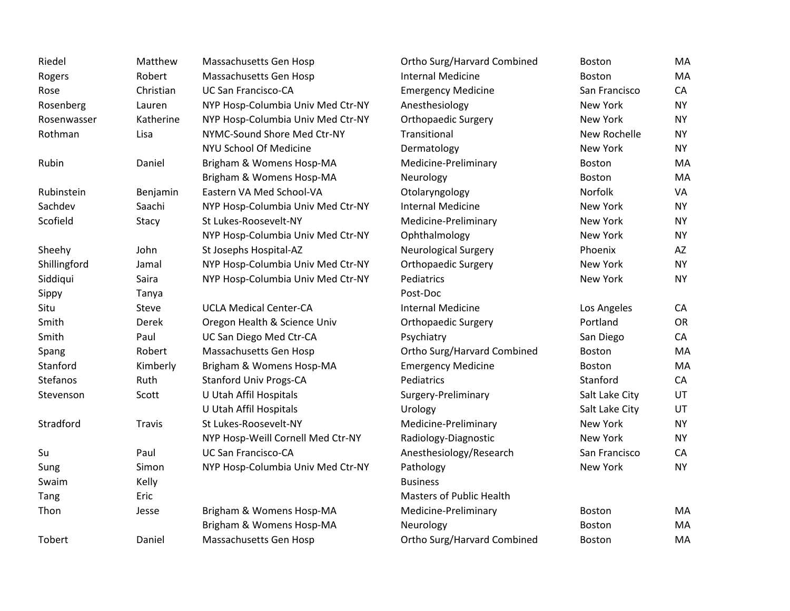| Riedel       | Matthew       | Massachusetts Gen Hosp            | Ortho Surg/Harvard Combined     | <b>Boston</b>   | MA        |
|--------------|---------------|-----------------------------------|---------------------------------|-----------------|-----------|
| Rogers       | Robert        | Massachusetts Gen Hosp            | <b>Internal Medicine</b>        | Boston          | MA        |
| Rose         | Christian     | <b>UC San Francisco-CA</b>        | <b>Emergency Medicine</b>       | San Francisco   | CA        |
| Rosenberg    | Lauren        | NYP Hosp-Columbia Univ Med Ctr-NY | Anesthesiology                  | New York        | <b>NY</b> |
| Rosenwasser  | Katherine     | NYP Hosp-Columbia Univ Med Ctr-NY | <b>Orthopaedic Surgery</b>      | <b>New York</b> | <b>NY</b> |
| Rothman      | Lisa          | NYMC-Sound Shore Med Ctr-NY       | Transitional                    | New Rochelle    | <b>NY</b> |
|              |               | NYU School Of Medicine            | Dermatology                     | <b>New York</b> | <b>NY</b> |
| Rubin        | Daniel        | Brigham & Womens Hosp-MA          | Medicine-Preliminary            | Boston          | MA        |
|              |               | Brigham & Womens Hosp-MA          | Neurology                       | <b>Boston</b>   | MA        |
| Rubinstein   | Benjamin      | Eastern VA Med School-VA          | Otolaryngology                  | Norfolk         | VA        |
| Sachdev      | Saachi        | NYP Hosp-Columbia Univ Med Ctr-NY | <b>Internal Medicine</b>        | New York        | <b>NY</b> |
| Scofield     | Stacy         | St Lukes-Roosevelt-NY             | Medicine-Preliminary            | New York        | <b>NY</b> |
|              |               | NYP Hosp-Columbia Univ Med Ctr-NY | Ophthalmology                   | New York        | <b>NY</b> |
| Sheehy       | John          | St Josephs Hospital-AZ            | <b>Neurological Surgery</b>     | Phoenix         | AZ        |
| Shillingford | Jamal         | NYP Hosp-Columbia Univ Med Ctr-NY | <b>Orthopaedic Surgery</b>      | New York        | <b>NY</b> |
| Siddiqui     | Saira         | NYP Hosp-Columbia Univ Med Ctr-NY | Pediatrics                      | <b>New York</b> | <b>NY</b> |
| Sippy        | Tanya         |                                   | Post-Doc                        |                 |           |
| Situ         | Steve         | <b>UCLA Medical Center-CA</b>     | <b>Internal Medicine</b>        | Los Angeles     | CA        |
| Smith        | Derek         | Oregon Health & Science Univ      | <b>Orthopaedic Surgery</b>      | Portland        | <b>OR</b> |
| Smith        | Paul          | UC San Diego Med Ctr-CA           | Psychiatry                      | San Diego       | CA        |
| Spang        | Robert        | Massachusetts Gen Hosp            | Ortho Surg/Harvard Combined     | Boston          | MA        |
| Stanford     | Kimberly      | Brigham & Womens Hosp-MA          | <b>Emergency Medicine</b>       | <b>Boston</b>   | MA        |
| Stefanos     | Ruth          | <b>Stanford Univ Progs-CA</b>     | Pediatrics                      | Stanford        | CA        |
| Stevenson    | Scott         | U Utah Affil Hospitals            | Surgery-Preliminary             | Salt Lake City  | <b>UT</b> |
|              |               | U Utah Affil Hospitals            | Urology                         | Salt Lake City  | UT        |
| Stradford    | <b>Travis</b> | St Lukes-Roosevelt-NY             | Medicine-Preliminary            | <b>New York</b> | <b>NY</b> |
|              |               | NYP Hosp-Weill Cornell Med Ctr-NY | Radiology-Diagnostic            | New York        | <b>NY</b> |
| Su           | Paul          | <b>UC San Francisco-CA</b>        | Anesthesiology/Research         | San Francisco   | CA        |
| Sung         | Simon         | NYP Hosp-Columbia Univ Med Ctr-NY | Pathology                       | New York        | <b>NY</b> |
| Swaim        | Kelly         |                                   | <b>Business</b>                 |                 |           |
| Tang         | Eric          |                                   | <b>Masters of Public Health</b> |                 |           |
| Thon         | Jesse         | Brigham & Womens Hosp-MA          | Medicine-Preliminary            | Boston          | MA        |
|              |               | Brigham & Womens Hosp-MA          | Neurology                       | <b>Boston</b>   | MA        |
| Tobert       | Daniel        | Massachusetts Gen Hosp            | Ortho Surg/Harvard Combined     | Boston          | MA        |